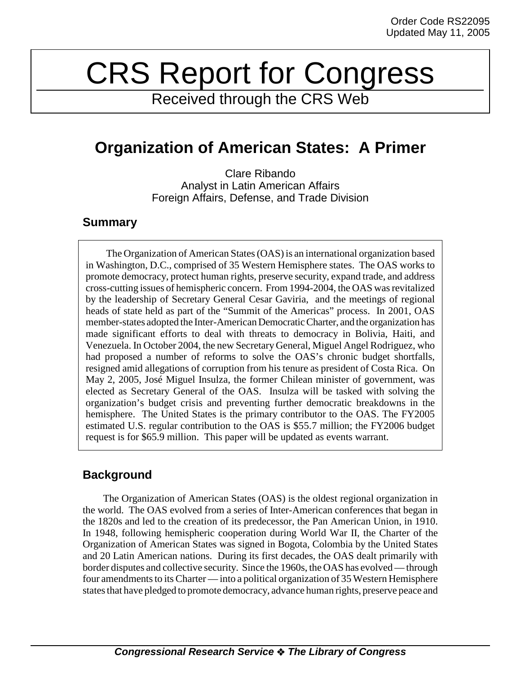# CRS Report for Congress

Received through the CRS Web

# **Organization of American States: A Primer**

Clare Ribando Analyst in Latin American Affairs Foreign Affairs, Defense, and Trade Division

### **Summary**

The Organization of American States (OAS) is an international organization based in Washington, D.C., comprised of 35 Western Hemisphere states. The OAS works to promote democracy, protect human rights, preserve security, expand trade, and address cross-cutting issues of hemispheric concern. From 1994-2004, the OAS was revitalized by the leadership of Secretary General Cesar Gaviria, and the meetings of regional heads of state held as part of the "Summit of the Americas" process. In 2001, OAS member-states adopted the Inter-American Democratic Charter, and the organization has made significant efforts to deal with threats to democracy in Bolivia, Haiti, and Venezuela. In October 2004, the new Secretary General, Miguel Angel Rodriguez, who had proposed a number of reforms to solve the OAS's chronic budget shortfalls, resigned amid allegations of corruption from his tenure as president of Costa Rica. On May 2, 2005, José Miguel Insulza, the former Chilean minister of government, was elected as Secretary General of the OAS. Insulza will be tasked with solving the organization's budget crisis and preventing further democratic breakdowns in the hemisphere. The United States is the primary contributor to the OAS. The FY2005 estimated U.S. regular contribution to the OAS is \$55.7 million; the FY2006 budget request is for \$65.9 million. This paper will be updated as events warrant.

## **Background**

The Organization of American States (OAS) is the oldest regional organization in the world. The OAS evolved from a series of Inter-American conferences that began in the 1820s and led to the creation of its predecessor, the Pan American Union, in 1910. In 1948, following hemispheric cooperation during World War II, the Charter of the Organization of American States was signed in Bogota, Colombia by the United States and 20 Latin American nations. During its first decades, the OAS dealt primarily with border disputes and collective security. Since the 1960s, the OAS has evolved — through four amendments to its Charter — into a political organization of 35 Western Hemisphere states that have pledged to promote democracy, advance human rights, preserve peace and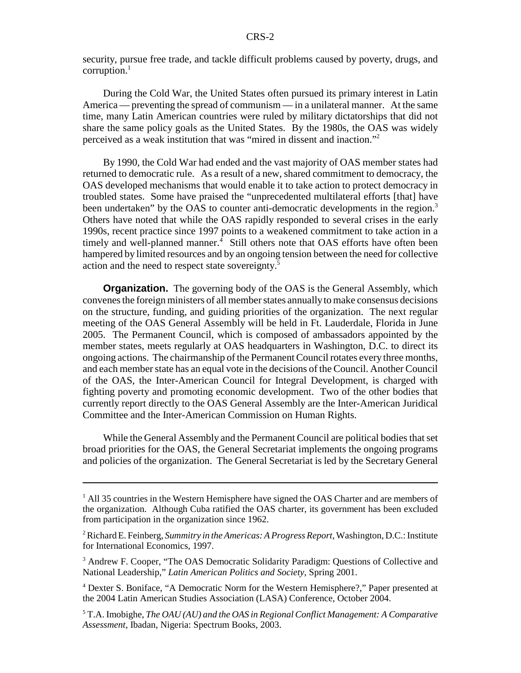security, pursue free trade, and tackle difficult problems caused by poverty, drugs, and corruption. $<sup>1</sup>$ </sup>

During the Cold War, the United States often pursued its primary interest in Latin America — preventing the spread of communism — in a unilateral manner. At the same time, many Latin American countries were ruled by military dictatorships that did not share the same policy goals as the United States. By the 1980s, the OAS was widely perceived as a weak institution that was "mired in dissent and inaction."2

By 1990, the Cold War had ended and the vast majority of OAS member states had returned to democratic rule. As a result of a new, shared commitment to democracy, the OAS developed mechanisms that would enable it to take action to protect democracy in troubled states. Some have praised the "unprecedented multilateral efforts [that] have been undertaken" by the OAS to counter anti-democratic developments in the region.<sup>3</sup> Others have noted that while the OAS rapidly responded to several crises in the early 1990s, recent practice since 1997 points to a weakened commitment to take action in a timely and well-planned manner.<sup>4</sup> Still others note that OAS efforts have often been hampered by limited resources and by an ongoing tension between the need for collective action and the need to respect state sovereignty.5

**Organization.** The governing body of the OAS is the General Assembly, which convenes the foreign ministers of all member states annually to make consensus decisions on the structure, funding, and guiding priorities of the organization. The next regular meeting of the OAS General Assembly will be held in Ft. Lauderdale, Florida in June 2005. The Permanent Council, which is composed of ambassadors appointed by the member states, meets regularly at OAS headquarters in Washington, D.C. to direct its ongoing actions. The chairmanship of the Permanent Council rotates every three months, and each member state has an equal vote in the decisions of the Council. Another Council of the OAS, the Inter-American Council for Integral Development, is charged with fighting poverty and promoting economic development. Two of the other bodies that currently report directly to the OAS General Assembly are the Inter-American Juridical Committee and the Inter-American Commission on Human Rights.

While the General Assembly and the Permanent Council are political bodies that set broad priorities for the OAS, the General Secretariat implements the ongoing programs and policies of the organization. The General Secretariat is led by the Secretary General

<sup>&</sup>lt;sup>1</sup> All 35 countries in the Western Hemisphere have signed the OAS Charter and are members of the organization. Although Cuba ratified the OAS charter, its government has been excluded from participation in the organization since 1962.

<sup>2</sup> Richard E. Feinberg, *Summitry in the Americas: A Progress Report*, Washington, D.C.: Institute for International Economics, 1997.

<sup>&</sup>lt;sup>3</sup> Andrew F. Cooper, "The OAS Democratic Solidarity Paradigm: Questions of Collective and National Leadership," *Latin American Politics and Society*, Spring 2001.

<sup>&</sup>lt;sup>4</sup> Dexter S. Boniface, "A Democratic Norm for the Western Hemisphere?," Paper presented at the 2004 Latin American Studies Association (LASA) Conference, October 2004.

<sup>5</sup> T.A. Imobighe, *The OAU (AU) and the OAS in Regional Conflict Management: A Comparative Assessment*, Ibadan, Nigeria: Spectrum Books, 2003.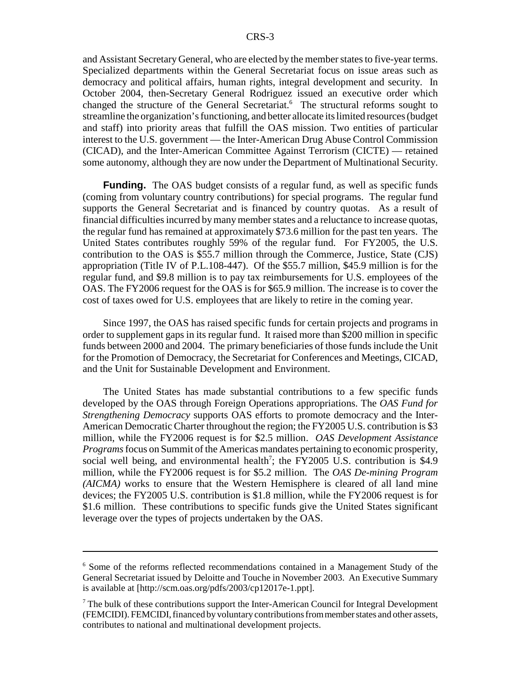and Assistant Secretary General, who are elected by the member states to five-year terms. Specialized departments within the General Secretariat focus on issue areas such as democracy and political affairs, human rights, integral development and security. In October 2004, then-Secretary General Rodriguez issued an executive order which changed the structure of the General Secretariat.<sup>6</sup> The structural reforms sought to streamline the organization's functioning, and better allocate its limited resources (budget and staff) into priority areas that fulfill the OAS mission. Two entities of particular interest to the U.S. government — the Inter-American Drug Abuse Control Commission (CICAD), and the Inter-American Committee Against Terrorism (CICTE) — retained some autonomy, although they are now under the Department of Multinational Security.

**Funding.** The OAS budget consists of a regular fund, as well as specific funds (coming from voluntary country contributions) for special programs. The regular fund supports the General Secretariat and is financed by country quotas. As a result of financial difficulties incurred by many member states and a reluctance to increase quotas, the regular fund has remained at approximately \$73.6 million for the past ten years. The United States contributes roughly 59% of the regular fund. For FY2005, the U.S. contribution to the OAS is \$55.7 million through the Commerce, Justice, State (CJS) appropriation (Title IV of P.L.108-447). Of the \$55.7 million, \$45.9 million is for the regular fund, and \$9.8 million is to pay tax reimbursements for U.S. employees of the OAS. The FY2006 request for the OAS is for \$65.9 million. The increase is to cover the cost of taxes owed for U.S. employees that are likely to retire in the coming year.

Since 1997, the OAS has raised specific funds for certain projects and programs in order to supplement gaps in its regular fund. It raised more than \$200 million in specific funds between 2000 and 2004. The primary beneficiaries of those funds include the Unit for the Promotion of Democracy, the Secretariat for Conferences and Meetings, CICAD, and the Unit for Sustainable Development and Environment.

The United States has made substantial contributions to a few specific funds developed by the OAS through Foreign Operations appropriations. The *OAS Fund for Strengthening Democracy* supports OAS efforts to promote democracy and the Inter-American Democratic Charter throughout the region; the FY2005 U.S. contribution is \$3 million, while the FY2006 request is for \$2.5 million. *OAS Development Assistance Programs* focus on Summit of the Americas mandates pertaining to economic prosperity, social well being, and environmental health<sup>7</sup>; the FY2005 U.S. contribution is \$4.9 million, while the FY2006 request is for \$5.2 million. The *OAS De-mining Program (AICMA)* works to ensure that the Western Hemisphere is cleared of all land mine devices; the FY2005 U.S. contribution is \$1.8 million, while the FY2006 request is for \$1.6 million. These contributions to specific funds give the United States significant leverage over the types of projects undertaken by the OAS.

<sup>&</sup>lt;sup>6</sup> Some of the reforms reflected recommendations contained in a Management Study of the General Secretariat issued by Deloitte and Touche in November 2003. An Executive Summary is available at [http://scm.oas.org/pdfs/2003/cp12017e-1.ppt].

 $7$  The bulk of these contributions support the Inter-American Council for Integral Development (FEMCIDI). FEMCIDI, financed by voluntary contributions from member states and other assets, contributes to national and multinational development projects.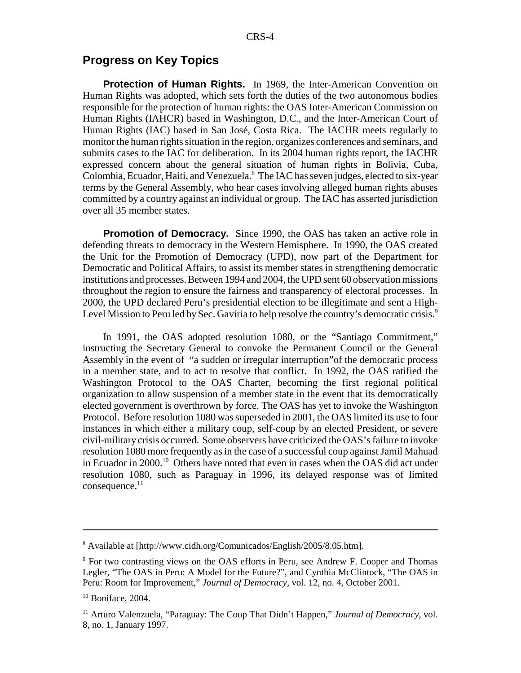#### **Progress on Key Topics**

**Protection of Human Rights.** In 1969, the Inter-American Convention on Human Rights was adopted, which sets forth the duties of the two autonomous bodies responsible for the protection of human rights: the OAS Inter-American Commission on Human Rights (IAHCR) based in Washington, D.C., and the Inter-American Court of Human Rights (IAC) based in San José, Costa Rica. The IACHR meets regularly to monitor the human rights situation in the region, organizes conferences and seminars, and submits cases to the IAC for deliberation. In its 2004 human rights report, the IACHR expressed concern about the general situation of human rights in Bolivia, Cuba, Colombia, Ecuador, Haiti, and Venezuela.<sup>8</sup> The IAC has seven judges, elected to six-year terms by the General Assembly, who hear cases involving alleged human rights abuses committed by a country against an individual or group. The IAC has asserted jurisdiction over all 35 member states.

**Promotion of Democracy.** Since 1990, the OAS has taken an active role in defending threats to democracy in the Western Hemisphere. In 1990, the OAS created the Unit for the Promotion of Democracy (UPD), now part of the Department for Democratic and Political Affairs, to assist its member states in strengthening democratic institutions and processes. Between 1994 and 2004, the UPD sent 60 observation missions throughout the region to ensure the fairness and transparency of electoral processes. In 2000, the UPD declared Peru's presidential election to be illegitimate and sent a High-Level Mission to Peru led by Sec. Gaviria to help resolve the country's democratic crisis.<sup>9</sup>

In 1991, the OAS adopted resolution 1080, or the "Santiago Commitment," instructing the Secretary General to convoke the Permanent Council or the General Assembly in the event of "a sudden or irregular interruption"of the democratic process in a member state, and to act to resolve that conflict. In 1992, the OAS ratified the Washington Protocol to the OAS Charter, becoming the first regional political organization to allow suspension of a member state in the event that its democratically elected government is overthrown by force. The OAS has yet to invoke the Washington Protocol. Before resolution 1080 was superseded in 2001, the OAS limited its use to four instances in which either a military coup, self-coup by an elected President, or severe civil-military crisis occurred. Some observers have criticized the OAS's failure to invoke resolution 1080 more frequently as in the case of a successful coup against Jamil Mahuad in Ecuador in 2000.10 Others have noted that even in cases when the OAS did act under resolution 1080, such as Paraguay in 1996, its delayed response was of limited  $consequence.<sup>11</sup>$ 

<sup>&</sup>lt;sup>8</sup> Available at [http://www.cidh.org/Comunicados/English/2005/8.05.htm].

<sup>&</sup>lt;sup>9</sup> For two contrasting views on the OAS efforts in Peru, see Andrew F. Cooper and Thomas Legler, "The OAS in Peru: A Model for the Future?", and Cynthia McClintock, "The OAS in Peru: Room for Improvement," *Journal of Democracy*, vol. 12, no. 4, October 2001.

 $10$  Boniface, 2004.

<sup>11</sup> Arturo Valenzuela, "Paraguay: The Coup That Didn't Happen," *Journal of Democracy*, vol. 8, no. 1, January 1997.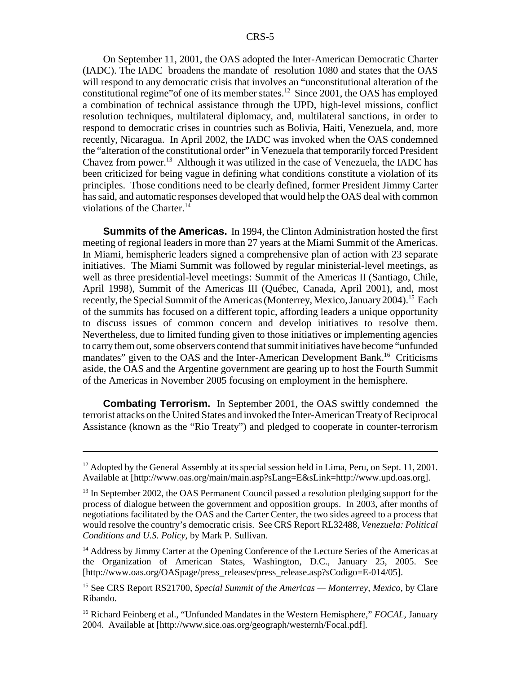On September 11, 2001, the OAS adopted the Inter-American Democratic Charter (IADC). The IADC broadens the mandate of resolution 1080 and states that the OAS will respond to any democratic crisis that involves an "unconstitutional alteration of the constitutional regime"of one of its member states.<sup>12</sup> Since 2001, the OAS has employed a combination of technical assistance through the UPD, high-level missions, conflict resolution techniques, multilateral diplomacy, and, multilateral sanctions, in order to respond to democratic crises in countries such as Bolivia, Haiti, Venezuela, and, more recently, Nicaragua. In April 2002, the IADC was invoked when the OAS condemned the "alteration of the constitutional order" in Venezuela that temporarily forced President Chavez from power.13 Although it was utilized in the case of Venezuela, the IADC has been criticized for being vague in defining what conditions constitute a violation of its principles. Those conditions need to be clearly defined, former President Jimmy Carter has said, and automatic responses developed that would help the OAS deal with common violations of the Charter.<sup>14</sup>

**Summits of the Americas.** In 1994, the Clinton Administration hosted the first meeting of regional leaders in more than 27 years at the Miami Summit of the Americas. In Miami, hemispheric leaders signed a comprehensive plan of action with 23 separate initiatives. The Miami Summit was followed by regular ministerial-level meetings, as well as three presidential-level meetings: Summit of the Americas II (Santiago, Chile, April 1998), Summit of the Americas III (Québec, Canada, April 2001), and, most recently, the Special Summit of the Americas (Monterrey, Mexico, January 2004).<sup>15</sup> Each of the summits has focused on a different topic, affording leaders a unique opportunity to discuss issues of common concern and develop initiatives to resolve them. Nevertheless, due to limited funding given to those initiatives or implementing agencies to carry them out, some observers contend that summit initiatives have become "unfunded mandates" given to the OAS and the Inter-American Development Bank.<sup>16</sup> Criticisms aside, the OAS and the Argentine government are gearing up to host the Fourth Summit of the Americas in November 2005 focusing on employment in the hemisphere.

**Combating Terrorism.** In September 2001, the OAS swiftly condemned the terrorist attacks on the United States and invoked the Inter-American Treaty of Reciprocal Assistance (known as the "Rio Treaty") and pledged to cooperate in counter-terrorism

 $12$  Adopted by the General Assembly at its special session held in Lima, Peru, on Sept. 11, 2001. Available at [http://www.oas.org/main/main.asp?sLang=E&sLink=http://www.upd.oas.org].

 $13$  In September 2002, the OAS Permanent Council passed a resolution pledging support for the process of dialogue between the government and opposition groups. In 2003, after months of negotiations facilitated by the OAS and the Carter Center, the two sides agreed to a process that would resolve the country's democratic crisis. See CRS Report RL32488, *Venezuela: Political Conditions and U.S. Policy*, by Mark P. Sullivan.

<sup>&</sup>lt;sup>14</sup> Address by Jimmy Carter at the Opening Conference of the Lecture Series of the Americas at the Organization of American States, Washington, D.C., January 25, 2005. See [http://www.oas.org/OASpage/press\_releases/press\_release.asp?sCodigo=E-014/05].

<sup>15</sup> See CRS Report RS21700, *Special Summit of the Americas — Monterrey, Mexico,* by Clare Ribando.

<sup>16</sup> Richard Feinberg et al., "Unfunded Mandates in the Western Hemisphere," *FOCAL,* January 2004. Available at [http://www.sice.oas.org/geograph/westernh/Focal.pdf].